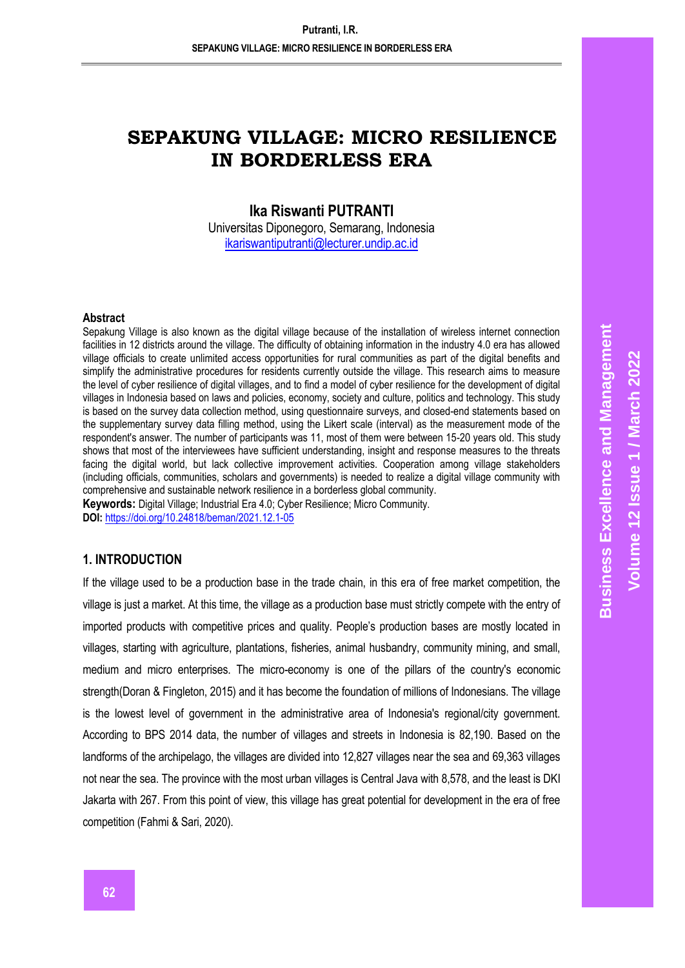# **SEPAKUNG VILLAGE: MICRO RESILIENCE IN BORDERLESS ERA**

# **Ika Riswanti PUTRANTI**

Universitas Diponegoro, Semarang, Indonesia [ikariswantiputranti@lecturer.undip.ac.id](mailto:ikariswantiputranti@lecturer.undip.ac.id)

#### **Abstract**

Sepakung Village is also known as the digital village because of the installation of wireless internet connection facilities in 12 districts around the village. The difficulty of obtaining information in the industry 4.0 era has allowed village officials to create unlimited access opportunities for rural communities as part of the digital benefits and simplify the administrative procedures for residents currently outside the village. This research aims to measure the level of cyber resilience of digital villages, and to find a model of cyber resilience for the development of digital villages in Indonesia based on laws and policies, economy, society and culture, politics and technology. This study is based on the survey data collection method, using questionnaire surveys, and closed-end statements based on the supplementary survey data filling method, using the Likert scale (interval) as the measurement mode of the respondent's answer. The number of participants was 11, most of them were between 15-20 years old. This study shows that most of the interviewees have sufficient understanding, insight and response measures to the threats facing the digital world, but lack collective improvement activities. Cooperation among village stakeholders (including officials, communities, scholars and governments) is needed to realize a digital village community with comprehensive and sustainable network resilience in a borderless global community.

**Keywords:** Digital Village; Industrial Era 4.0; Cyber Resilience; Micro Community. **DOI:** <https://doi.org/10.24818/beman/2021.12.1-05>

## **1. INTRODUCTION**

If the village used to be a production base in the trade chain, in this era of free market competition, the village is just a market. At this time, the village as a production base must strictly compete with the entry of imported products with competitive prices and quality. People's production bases are mostly located in villages, starting with agriculture, plantations, fisheries, animal husbandry, community mining, and small, medium and micro enterprises. The micro-economy is one of the pillars of the country's economic strength(Doran & Fingleton, 2015) and it has become the foundation of millions of Indonesians. The village is the lowest level of government in the administrative area of Indonesia's regional/city government. According to BPS 2014 data, the number of villages and streets in Indonesia is 82,190. Based on the landforms of the archipelago, the villages are divided into 12,827 villages near the sea and 69,363 villages not near the sea. The province with the most urban villages is Central Java with 8,578, and the least is DKI Jakarta with 267. From this point of view, this village has great potential for development in the era of free competition (Fahmi & Sari, 2020).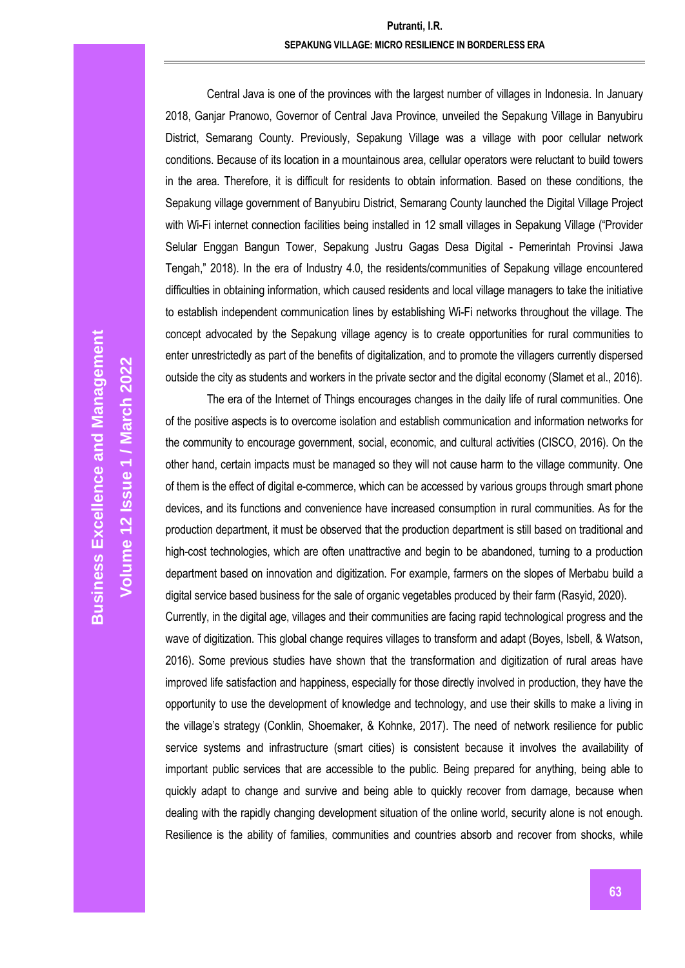## **Putranti, I.R. SEPAKUNG VILLAGE: MICRO RESILIENCE IN BORDERLESS ERA**

Central Java is one of the provinces with the largest number of villages in Indonesia. In January 2018, Ganjar Pranowo, Governor of Central Java Province, unveiled the Sepakung Village in Banyubiru District, Semarang County. Previously, Sepakung Village was a village with poor cellular network conditions. Because of its location in a mountainous area, cellular operators were reluctant to build towers in the area. Therefore, it is difficult for residents to obtain information. Based on these conditions, the Sepakung village government of Banyubiru District, Semarang County launched the Digital Village Project with Wi-Fi internet connection facilities being installed in 12 small villages in Sepakung Village ("Provider Selular Enggan Bangun Tower, Sepakung Justru Gagas Desa Digital - Pemerintah Provinsi Jawa Tengah," 2018). In the era of Industry 4.0, the residents/communities of Sepakung village encountered difficulties in obtaining information, which caused residents and local village managers to take the initiative to establish independent communication lines by establishing Wi-Fi networks throughout the village. The concept advocated by the Sepakung village agency is to create opportunities for rural communities to enter unrestrictedly as part of the benefits of digitalization, and to promote the villagers currently dispersed outside the city as students and workers in the private sector and the digital economy (Slamet et al., 2016).

The era of the Internet of Things encourages changes in the daily life of rural communities. One of the positive aspects is to overcome isolation and establish communication and information networks for the community to encourage government, social, economic, and cultural activities (CISCO, 2016). On the other hand, certain impacts must be managed so they will not cause harm to the village community. One of them is the effect of digital e-commerce, which can be accessed by various groups through smart phone devices, and its functions and convenience have increased consumption in rural communities. As for the production department, it must be observed that the production department is still based on traditional and high-cost technologies, which are often unattractive and begin to be abandoned, turning to a production department based on innovation and digitization. For example, farmers on the slopes of Merbabu build a digital service based business for the sale of organic vegetables produced by their farm (Rasyid, 2020).

Currently, in the digital age, villages and their communities are facing rapid technological progress and the wave of digitization. This global change requires villages to transform and adapt (Boyes, Isbell, & Watson, 2016). Some previous studies have shown that the transformation and digitization of rural areas have improved life satisfaction and happiness, especially for those directly involved in production, they have the opportunity to use the development of knowledge and technology, and use their skills to make a living in the village's strategy (Conklin, Shoemaker, & Kohnke, 2017). The need of network resilience for public service systems and infrastructure (smart cities) is consistent because it involves the availability of important public services that are accessible to the public. Being prepared for anything, being able to quickly adapt to change and survive and being able to quickly recover from damage, because when dealing with the rapidly changing development situation of the online world, security alone is not enough. Resilience is the ability of families, communities and countries absorb and recover from shocks, while

**Volume 12 Issue 1 / March 2022**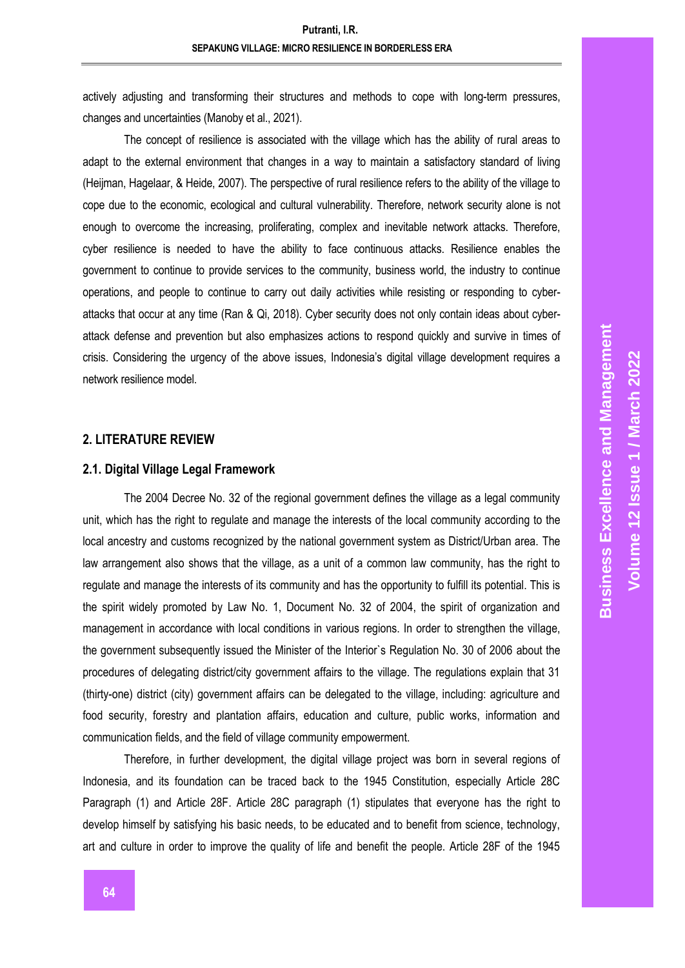actively adjusting and transforming their structures and methods to cope with long-term pressures, changes and uncertainties (Manoby et al., 2021).

The concept of resilience is associated with the village which has the ability of rural areas to adapt to the external environment that changes in a way to maintain a satisfactory standard of living (Heijman, Hagelaar, & Heide, 2007). The perspective of rural resilience refers to the ability of the village to cope due to the economic, ecological and cultural vulnerability. Therefore, network security alone is not enough to overcome the increasing, proliferating, complex and inevitable network attacks. Therefore, cyber resilience is needed to have the ability to face continuous attacks. Resilience enables the government to continue to provide services to the community, business world, the industry to continue operations, and people to continue to carry out daily activities while resisting or responding to cyberattacks that occur at any time (Ran & Qi, 2018). Cyber security does not only contain ideas about cyberattack defense and prevention but also emphasizes actions to respond quickly and survive in times of crisis. Considering the urgency of the above issues, Indonesia's digital village development requires a network resilience model.

### **2. LITERATURE REVIEW**

#### **2.1. Digital Village Legal Framework**

The 2004 Decree No. 32 of the regional government defines the village as a legal community unit, which has the right to regulate and manage the interests of the local community according to the local ancestry and customs recognized by the national government system as District/Urban area. The law arrangement also shows that the village, as a unit of a common law community, has the right to regulate and manage the interests of its community and has the opportunity to fulfill its potential. This is the spirit widely promoted by Law No. 1, Document No. 32 of 2004, the spirit of organization and management in accordance with local conditions in various regions. In order to strengthen the village, the government subsequently issued the Minister of the Interior`s Regulation No. 30 of 2006 about the procedures of delegating district/city government affairs to the village. The regulations explain that 31 (thirty-one) district (city) government affairs can be delegated to the village, including: agriculture and food security, forestry and plantation affairs, education and culture, public works, information and communication fields, and the field of village community empowerment.

Therefore, in further development, the digital village project was born in several regions of Indonesia, and its foundation can be traced back to the 1945 Constitution, especially Article 28C Paragraph (1) and Article 28F. Article 28C paragraph (1) stipulates that everyone has the right to develop himself by satisfying his basic needs, to be educated and to benefit from science, technology, art and culture in order to improve the quality of life and benefit the people. Article 28F of the 1945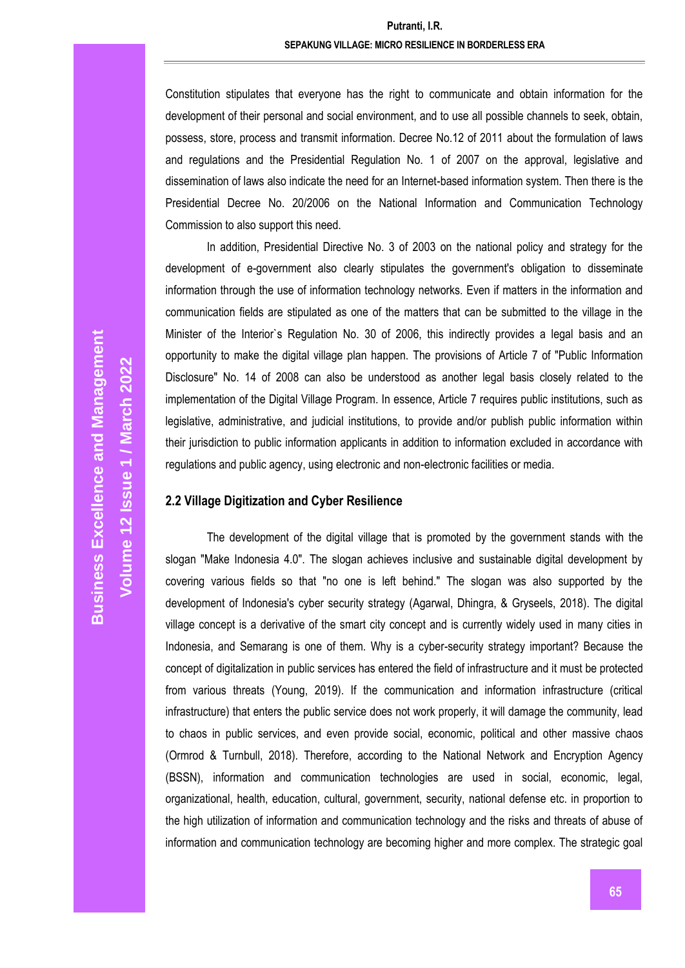# **Putranti, I.R. SEPAKUNG VILLAGE: MICRO RESILIENCE IN BORDERLESS ERA**

Constitution stipulates that everyone has the right to communicate and obtain information for the development of their personal and social environment, and to use all possible channels to seek, obtain, possess, store, process and transmit information. Decree No.12 of 2011 about the formulation of laws and regulations and the Presidential Regulation No. 1 of 2007 on the approval, legislative and dissemination of laws also indicate the need for an Internet-based information system. Then there is the Presidential Decree No. 20/2006 on the National Information and Communication Technology Commission to also support this need.

In addition, Presidential Directive No. 3 of 2003 on the national policy and strategy for the development of e-government also clearly stipulates the government's obligation to disseminate information through the use of information technology networks. Even if matters in the information and communication fields are stipulated as one of the matters that can be submitted to the village in the Minister of the Interior`s Regulation No. 30 of 2006, this indirectly provides a legal basis and an opportunity to make the digital village plan happen. The provisions of Article 7 of "Public Information Disclosure" No. 14 of 2008 can also be understood as another legal basis closely related to the implementation of the Digital Village Program. In essence, Article 7 requires public institutions, such as legislative, administrative, and judicial institutions, to provide and/or publish public information within their jurisdiction to public information applicants in addition to information excluded in accordance with regulations and public agency, using electronic and non-electronic facilities or media.

### **2.2 Village Digitization and Cyber Resilience**

The development of the digital village that is promoted by the government stands with the slogan "Make Indonesia 4.0". The slogan achieves inclusive and sustainable digital development by covering various fields so that "no one is left behind." The slogan was also supported by the development of Indonesia's cyber security strategy (Agarwal, Dhingra, & Gryseels, 2018). The digital village concept is a derivative of the smart city concept and is currently widely used in many cities in Indonesia, and Semarang is one of them. Why is a cyber-security strategy important? Because the concept of digitalization in public services has entered the field of infrastructure and it must be protected from various threats (Young, 2019). If the communication and information infrastructure (critical infrastructure) that enters the public service does not work properly, it will damage the community, lead to chaos in public services, and even provide social, economic, political and other massive chaos (Ormrod & Turnbull, 2018). Therefore, according to the National Network and Encryption Agency (BSSN), information and communication technologies are used in social, economic, legal, organizational, health, education, cultural, government, security, national defense etc. in proportion to the high utilization of information and communication technology and the risks and threats of abuse of information and communication technology are becoming higher and more complex. The strategic goal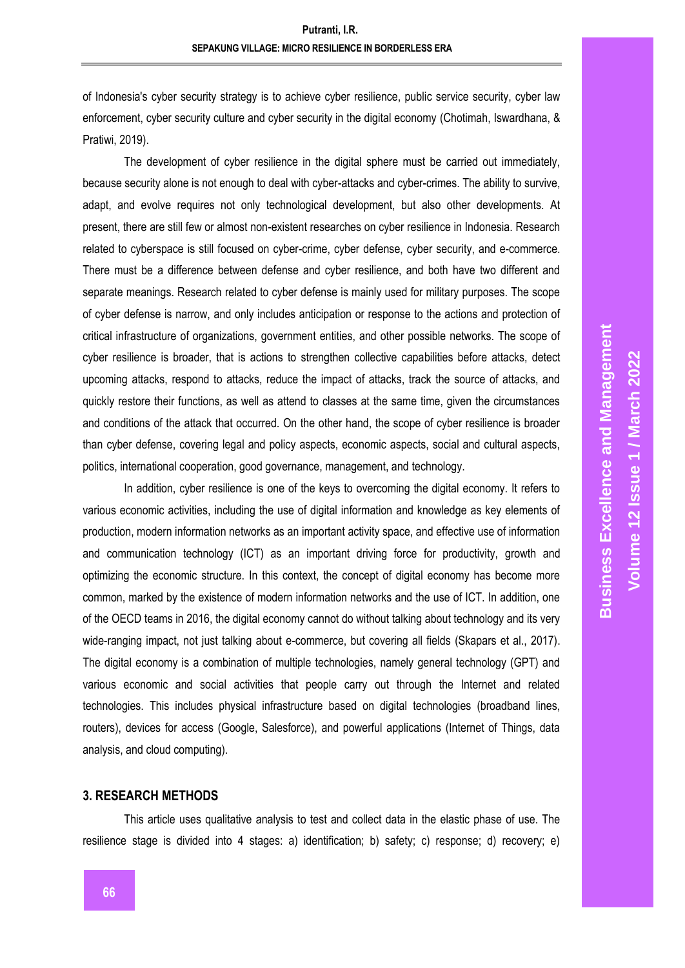of Indonesia's cyber security strategy is to achieve cyber resilience, public service security, cyber law enforcement, cyber security culture and cyber security in the digital economy (Chotimah, Iswardhana, & Pratiwi, 2019).

The development of cyber resilience in the digital sphere must be carried out immediately, because security alone is not enough to deal with cyber-attacks and cyber-crimes. The ability to survive, adapt, and evolve requires not only technological development, but also other developments. At present, there are still few or almost non-existent researches on cyber resilience in Indonesia. Research related to cyberspace is still focused on cyber-crime, cyber defense, cyber security, and e-commerce. There must be a difference between defense and cyber resilience, and both have two different and separate meanings. Research related to cyber defense is mainly used for military purposes. The scope of cyber defense is narrow, and only includes anticipation or response to the actions and protection of critical infrastructure of organizations, government entities, and other possible networks. The scope of cyber resilience is broader, that is actions to strengthen collective capabilities before attacks, detect upcoming attacks, respond to attacks, reduce the impact of attacks, track the source of attacks, and quickly restore their functions, as well as attend to classes at the same time, given the circumstances and conditions of the attack that occurred. On the other hand, the scope of cyber resilience is broader than cyber defense, covering legal and policy aspects, economic aspects, social and cultural aspects, politics, international cooperation, good governance, management, and technology.

In addition, cyber resilience is one of the keys to overcoming the digital economy. It refers to various economic activities, including the use of digital information and knowledge as key elements of production, modern information networks as an important activity space, and effective use of information and communication technology (ICT) as an important driving force for productivity, growth and optimizing the economic structure. In this context, the concept of digital economy has become more common, marked by the existence of modern information networks and the use of ICT. In addition, one of the OECD teams in 2016, the digital economy cannot do without talking about technology and its very wide-ranging impact, not just talking about e-commerce, but covering all fields (Skapars et al., 2017). The digital economy is a combination of multiple technologies, namely general technology (GPT) and various economic and social activities that people carry out through the Internet and related technologies. This includes physical infrastructure based on digital technologies (broadband lines, routers), devices for access (Google, Salesforce), and powerful applications (Internet of Things, data analysis, and cloud computing).

#### **3. RESEARCH METHODS**

This article uses qualitative analysis to test and collect data in the elastic phase of use. The resilience stage is divided into 4 stages: a) identification; b) safety; c) response; d) recovery; e)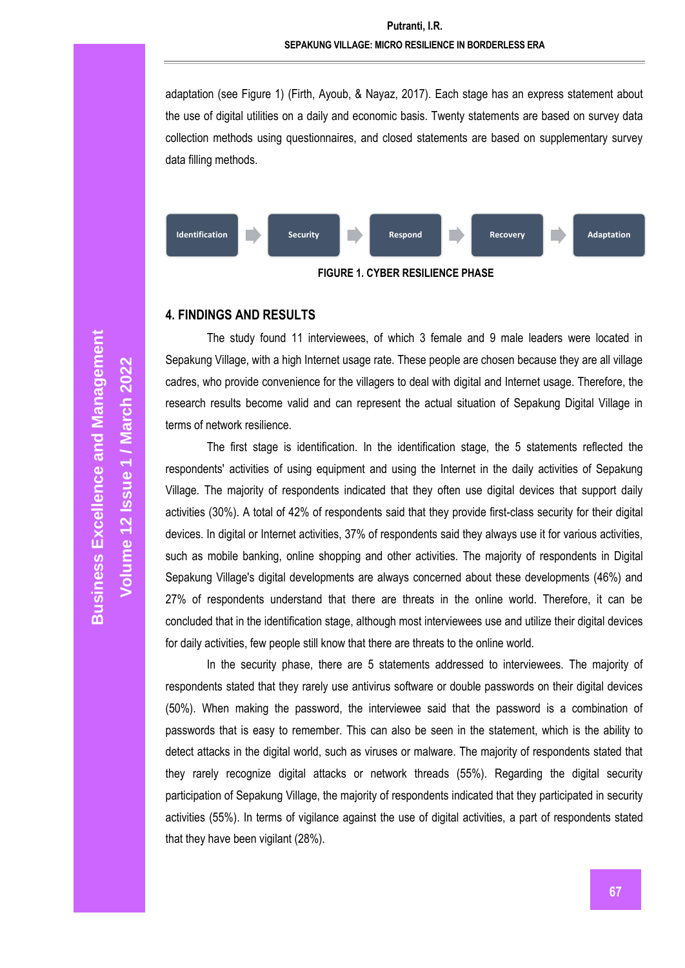adaptation (see Figure 1) (Firth, Ayoub, & Nayaz, 2017). Each stage has an express statement about the use of digital utilities on a daily and economic basis. Twenty statements are based on survey data collection methods using questionnaires, and closed statements are based on supplementary survey data filling methods.



**FIGURE 1***.* **CYBER RESILIENCE PHASE**

## **4. FINDINGS AND RESULTS**

The study found 11 interviewees, of which 3 female and 9 male leaders were located in Sepakung Village, with a high Internet usage rate. These people are chosen because they are all village cadres, who provide convenience for the villagers to deal with digital and Internet usage. Therefore, the research results become valid and can represent the actual situation of Sepakung Digital Village in terms of network resilience.

The first stage is identification. In the identification stage, the 5 statements reflected the respondents' activities of using equipment and using the Internet in the daily activities of Sepakung Village. The majority of respondents indicated that they often use digital devices that support daily activities (30%). A total of 42% of respondents said that they provide first-class security for their digital devices. In digital or Internet activities, 37% of respondents said they always use it for various activities, such as mobile banking, online shopping and other activities. The majority of respondents in Digital Sepakung Village's digital developments are always concerned about these developments (46%) and 27% of respondents understand that there are threats in the online world. Therefore, it can be concluded that in the identification stage, although most interviewees use and utilize their digital devices for daily activities, few people still know that there are threats to the online world.

In the security phase, there are 5 statements addressed to interviewees. The majority of respondents stated that they rarely use antivirus software or double passwords on their digital devices (50%). When making the password, the interviewee said that the password is a combination of passwords that is easy to remember. This can also be seen in the statement, which is the ability to detect attacks in the digital world, such as viruses or malware. The majority of respondents stated that they rarely recognize digital attacks or network threads (55%). Regarding the digital security participation of Sepakung Village, the majority of respondents indicated that they participated in security activities (55%). In terms of vigilance against the use of digital activities, a part of respondents stated that they have been vigilant (28%).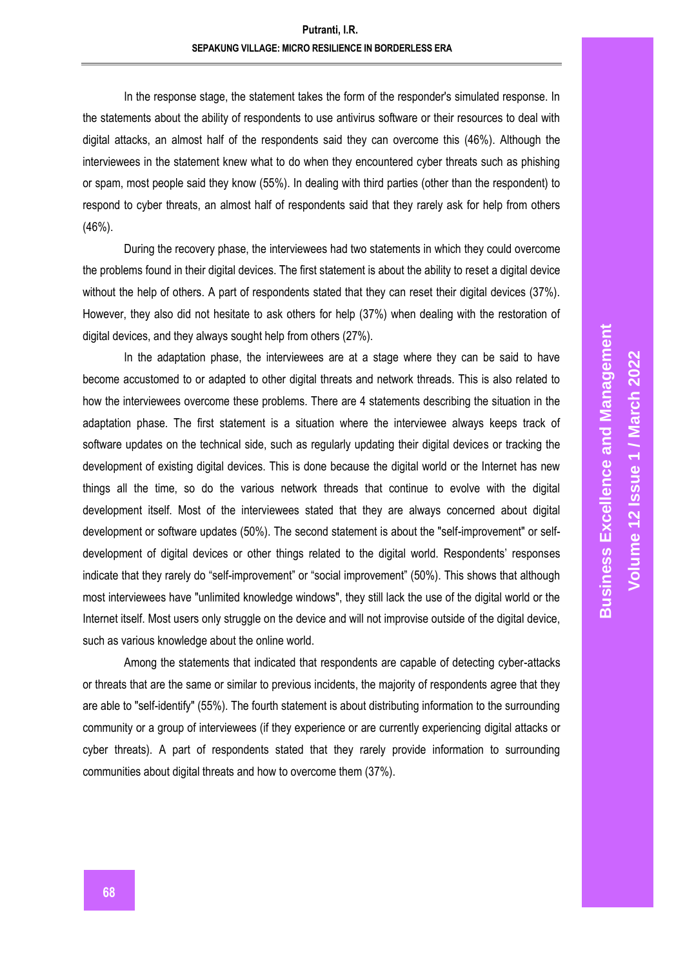In the response stage, the statement takes the form of the responder's simulated response. In the statements about the ability of respondents to use antivirus software or their resources to deal with digital attacks, an almost half of the respondents said they can overcome this (46%). Although the interviewees in the statement knew what to do when they encountered cyber threats such as phishing or spam, most people said they know (55%). In dealing with third parties (other than the respondent) to respond to cyber threats, an almost half of respondents said that they rarely ask for help from others (46%).

During the recovery phase, the interviewees had two statements in which they could overcome the problems found in their digital devices. The first statement is about the ability to reset a digital device without the help of others. A part of respondents stated that they can reset their digital devices (37%). However, they also did not hesitate to ask others for help (37%) when dealing with the restoration of digital devices, and they always sought help from others (27%).

In the adaptation phase, the interviewees are at a stage where they can be said to have become accustomed to or adapted to other digital threats and network threads. This is also related to how the interviewees overcome these problems. There are 4 statements describing the situation in the adaptation phase. The first statement is a situation where the interviewee always keeps track of software updates on the technical side, such as regularly updating their digital devices or tracking the development of existing digital devices. This is done because the digital world or the Internet has new things all the time, so do the various network threads that continue to evolve with the digital development itself. Most of the interviewees stated that they are always concerned about digital development or software updates (50%). The second statement is about the "self-improvement" or selfdevelopment of digital devices or other things related to the digital world. Respondents' responses indicate that they rarely do "self-improvement" or "social improvement" (50%). This shows that although most interviewees have "unlimited knowledge windows", they still lack the use of the digital world or the Internet itself. Most users only struggle on the device and will not improvise outside of the digital device, such as various knowledge about the online world.

Among the statements that indicated that respondents are capable of detecting cyber-attacks or threats that are the same or similar to previous incidents, the majority of respondents agree that they are able to "self-identify" (55%). The fourth statement is about distributing information to the surrounding community or a group of interviewees (if they experience or are currently experiencing digital attacks or cyber threats). A part of respondents stated that they rarely provide information to surrounding communities about digital threats and how to overcome them (37%).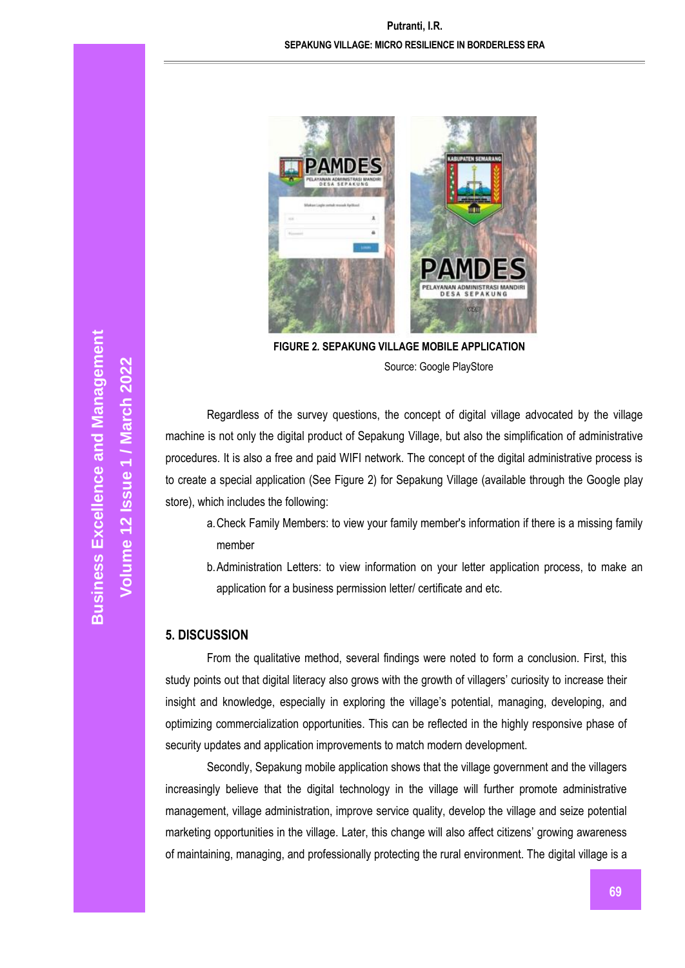# **Putranti, I.R. SEPAKUNG VILLAGE: MICRO RESILIENCE IN BORDERLESS ERA**



**FIGURE 2***.* **SEPAKUNG VILLAGE MOBILE APPLICATION** Source: Google PlayStore

Regardless of the survey questions, the concept of digital village advocated by the village machine is not only the digital product of Sepakung Village, but also the simplification of administrative procedures. It is also a free and paid WIFI network. The concept of the digital administrative process is to create a special application (See Figure 2) for Sepakung Village (available through the Google play store), which includes the following:

- a.Check Family Members: to view your family member's information if there is a missing family member
- b.Administration Letters: to view information on your letter application process, to make an application for a business permission letter/ certificate and etc.

#### **5. DISCUSSION**

From the qualitative method, several findings were noted to form a conclusion. First, this study points out that digital literacy also grows with the growth of villagers' curiosity to increase their insight and knowledge, especially in exploring the village's potential, managing, developing, and optimizing commercialization opportunities. This can be reflected in the highly responsive phase of security updates and application improvements to match modern development.

Secondly, Sepakung mobile application shows that the village government and the villagers increasingly believe that the digital technology in the village will further promote administrative management, village administration, improve service quality, develop the village and seize potential marketing opportunities in the village. Later, this change will also affect citizens' growing awareness of maintaining, managing, and professionally protecting the rural environment. The digital village is a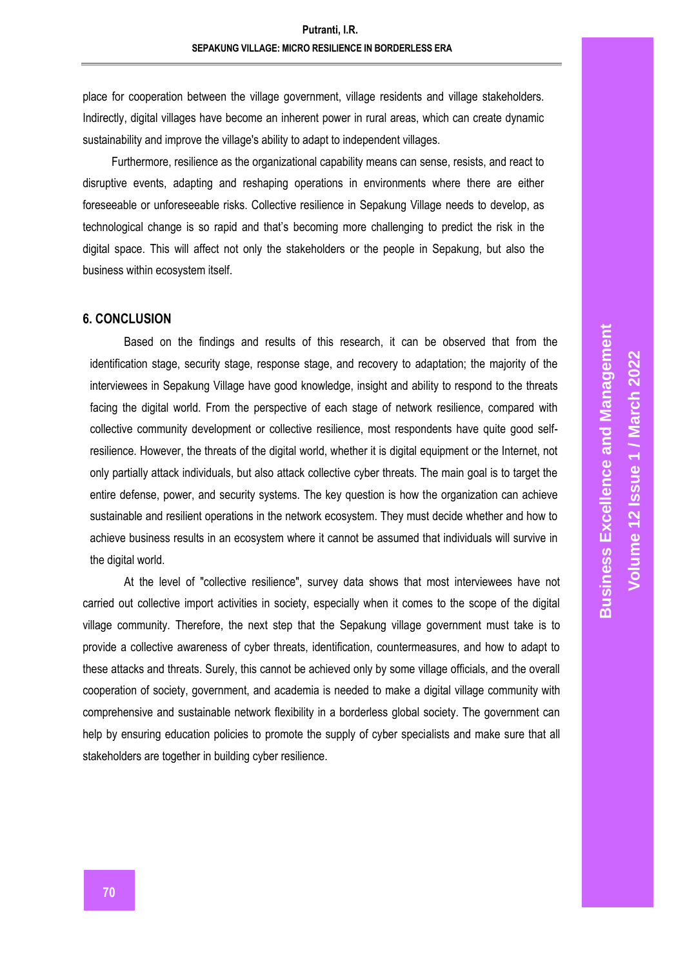place for cooperation between the village government, village residents and village stakeholders. Indirectly, digital villages have become an inherent power in rural areas, which can create dynamic sustainability and improve the village's ability to adapt to independent villages.

 Furthermore, resilience as the organizational capability means can sense, resists, and react to disruptive events, adapting and reshaping operations in environments where there are either foreseeable or unforeseeable risks. Collective resilience in Sepakung Village needs to develop, as technological change is so rapid and that's becoming more challenging to predict the risk in the digital space. This will affect not only the stakeholders or the people in Sepakung, but also the business within ecosystem itself.

#### **6. CONCLUSION**

Based on the findings and results of this research, it can be observed that from the identification stage, security stage, response stage, and recovery to adaptation; the majority of the interviewees in Sepakung Village have good knowledge, insight and ability to respond to the threats facing the digital world. From the perspective of each stage of network resilience, compared with collective community development or collective resilience, most respondents have quite good selfresilience. However, the threats of the digital world, whether it is digital equipment or the Internet, not only partially attack individuals, but also attack collective cyber threats. The main goal is to target the entire defense, power, and security systems. The key question is how the organization can achieve sustainable and resilient operations in the network ecosystem. They must decide whether and how to achieve business results in an ecosystem where it cannot be assumed that individuals will survive in the digital world.

At the level of "collective resilience", survey data shows that most interviewees have not carried out collective import activities in society, especially when it comes to the scope of the digital village community. Therefore, the next step that the Sepakung village government must take is to provide a collective awareness of cyber threats, identification, countermeasures, and how to adapt to these attacks and threats. Surely, this cannot be achieved only by some village officials, and the overall cooperation of society, government, and academia is needed to make a digital village community with comprehensive and sustainable network flexibility in a borderless global society. The government can help by ensuring education policies to promote the supply of cyber specialists and make sure that all stakeholders are together in building cyber resilience.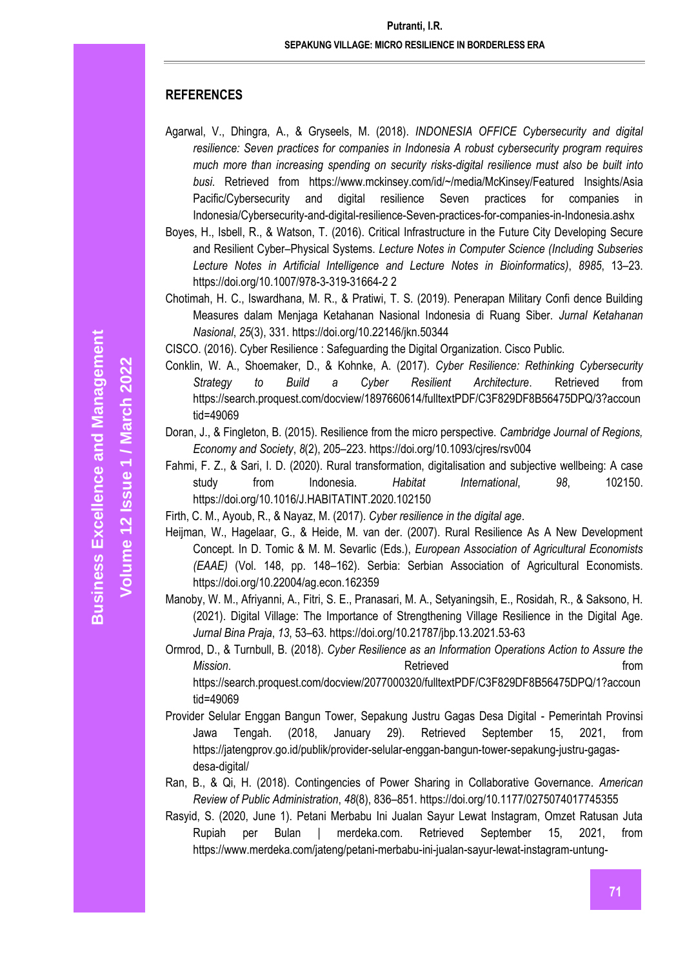# **REFERENCES**

- Agarwal, V., Dhingra, A., & Gryseels, M. (2018). *INDONESIA OFFICE Cybersecurity and digital resilience: Seven practices for companies in Indonesia A robust cybersecurity program requires much more than increasing spending on security risks-digital resilience must also be built into busi*. Retrieved from https://www.mckinsey.com/id/~/media/McKinsey/Featured Insights/Asia Pacific/Cybersecurity and digital resilience Seven practices for companies in Indonesia/Cybersecurity-and-digital-resilience-Seven-practices-for-companies-in-Indonesia.ashx
- Boyes, H., Isbell, R., & Watson, T. (2016). Critical Infrastructure in the Future City Developing Secure and Resilient Cyber–Physical Systems. *Lecture Notes in Computer Science (Including Subseries Lecture Notes in Artificial Intelligence and Lecture Notes in Bioinformatics)*, *8985*, 13–23. https://doi.org/10.1007/978-3-319-31664-2 2
- Chotimah, H. C., Iswardhana, M. R., & Pratiwi, T. S. (2019). Penerapan Military Confi dence Building Measures dalam Menjaga Ketahanan Nasional Indonesia di Ruang Siber. *Jurnal Ketahanan Nasional*, *25*(3), 331. https://doi.org/10.22146/jkn.50344
- CISCO. (2016). Cyber Resilience : Safeguarding the Digital Organization. Cisco Public.
- Conklin, W. A., Shoemaker, D., & Kohnke, A. (2017). *Cyber Resilience: Rethinking Cybersecurity Strategy to Build a Cyber Resilient Architecture*. Retrieved from https://search.proquest.com/docview/1897660614/fulltextPDF/C3F829DF8B56475DPQ/3?accoun tid=49069
- Doran, J., & Fingleton, B. (2015). Resilience from the micro perspective. *Cambridge Journal of Regions, Economy and Society*, *8*(2), 205–223. https://doi.org/10.1093/cjres/rsv004
- Fahmi, F. Z., & Sari, I. D. (2020). Rural transformation, digitalisation and subjective wellbeing: A case study from Indonesia. *Habitat International*, *98*, 102150. https://doi.org/10.1016/J.HABITATINT.2020.102150
- Firth, C. M., Ayoub, R., & Nayaz, M. (2017). *Cyber resilience in the digital age*.
- Heijman, W., Hagelaar, G., & Heide, M. van der. (2007). Rural Resilience As A New Development Concept. In D. Tomic & M. M. Sevarlic (Eds.), *European Association of Agricultural Economists (EAAE)* (Vol. 148, pp. 148–162). Serbia: Serbian Association of Agricultural Economists. https://doi.org/10.22004/ag.econ.162359
- Manoby, W. M., Afriyanni, A., Fitri, S. E., Pranasari, M. A., Setyaningsih, E., Rosidah, R., & Saksono, H. (2021). Digital Village: The Importance of Strengthening Village Resilience in the Digital Age. *Jurnal Bina Praja*, *13*, 53–63. https://doi.org/10.21787/jbp.13.2021.53-63
- Ormrod, D., & Turnbull, B. (2018). *Cyber Resilience as an Information Operations Action to Assure the Mission*. **Retrieved Example 2** *nd nd nd nd nd nd nd nd <i>nd***</del>** *<b>nd nd nd nd nd nd nd nd nd nd nd nd nd nd nd nd nd nd* https://search.proquest.com/docview/2077000320/fulltextPDF/C3F829DF8B56475DPQ/1?accoun tid=49069
- Provider Selular Enggan Bangun Tower, Sepakung Justru Gagas Desa Digital Pemerintah Provinsi Jawa Tengah. (2018, January 29). Retrieved September 15, 2021, from https://jatengprov.go.id/publik/provider-selular-enggan-bangun-tower-sepakung-justru-gagasdesa-digital/
- Ran, B., & Qi, H. (2018). Contingencies of Power Sharing in Collaborative Governance. *American Review of Public Administration*, *48*(8), 836–851. https://doi.org/10.1177/0275074017745355
- Rasyid, S. (2020, June 1). Petani Merbabu Ini Jualan Sayur Lewat Instagram, Omzet Ratusan Juta Rupiah per Bulan | merdeka.com. Retrieved September 15, 2021, from https://www.merdeka.com/jateng/petani-merbabu-ini-jualan-sayur-lewat-instagram-untung-

**Volume 12 Issue 1 / March 2022**